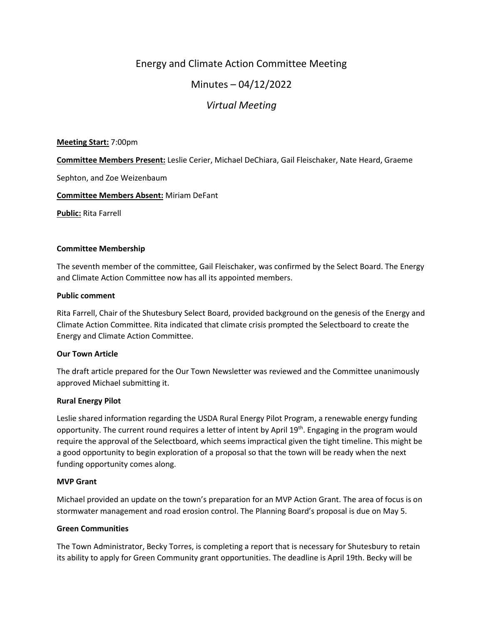# Energy and Climate Action Committee Meeting

# Minutes – 04/12/2022

# *Virtual Meeting*

## **Meeting Start:** 7:00pm

**Committee Members Present:** Leslie Cerier, Michael DeChiara, Gail Fleischaker, Nate Heard, Graeme

Sephton, and Zoe Weizenbaum

## **Committee Members Absent:** Miriam DeFant

**Public:** Rita Farrell

## **Committee Membership**

The seventh member of the committee, Gail Fleischaker, was confirmed by the Select Board. The Energy and Climate Action Committee now has all its appointed members.

## **Public comment**

Rita Farrell, Chair of the Shutesbury Select Board, provided background on the genesis of the Energy and Climate Action Committee. Rita indicated that climate crisis prompted the Selectboard to create the Energy and Climate Action Committee.

#### **Our Town Article**

The draft article prepared for the Our Town Newsletter was reviewed and the Committee unanimously approved Michael submitting it.

# **Rural Energy Pilot**

Leslie shared information regarding the USDA Rural Energy Pilot Program, a renewable energy funding opportunity. The current round requires a letter of intent by April 19<sup>th</sup>. Engaging in the program would require the approval of the Selectboard, which seems impractical given the tight timeline. This might be a good opportunity to begin exploration of a proposal so that the town will be ready when the next funding opportunity comes along.

#### **MVP Grant**

Michael provided an update on the town's preparation for an MVP Action Grant. The area of focus is on stormwater management and road erosion control. The Planning Board's proposal is due on May 5.

# **Green Communities**

The Town Administrator, Becky Torres, is completing a report that is necessary for Shutesbury to retain its ability to apply for Green Community grant opportunities. The deadline is April 19th. Becky will be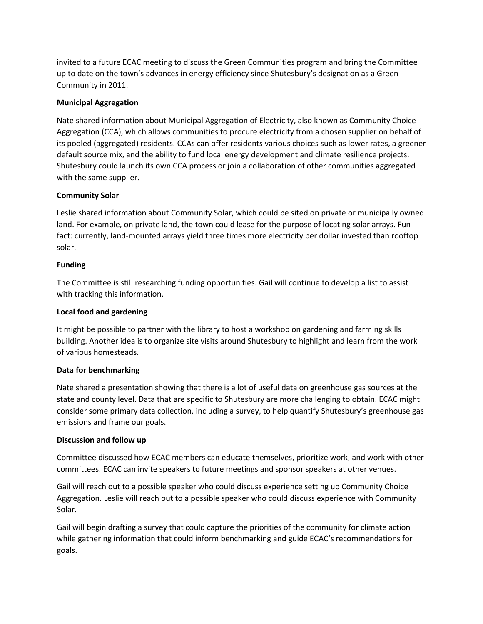invited to a future ECAC meeting to discuss the Green Communities program and bring the Committee up to date on the town's advances in energy efficiency since Shutesbury's designation as a Green Community in 2011.

# **Municipal Aggregation**

Nate shared information about Municipal Aggregation of Electricity, also known as Community Choice Aggregation (CCA), which allows communities to procure electricity from a chosen supplier on behalf of its pooled (aggregated) residents. CCAs can offer residents various choices such as lower rates, a greener default source mix, and the ability to fund local energy development and climate resilience projects. Shutesbury could launch its own CCA process or join a collaboration of other communities aggregated with the same supplier.

# **Community Solar**

Leslie shared information about Community Solar, which could be sited on private or municipally owned land. For example, on private land, the town could lease for the purpose of locating solar arrays. Fun fact: currently, land-mounted arrays yield three times more electricity per dollar invested than rooftop solar.

# **Funding**

The Committee is still researching funding opportunities. Gail will continue to develop a list to assist with tracking this information.

# **Local food and gardening**

It might be possible to partner with the library to host a workshop on gardening and farming skills building. Another idea is to organize site visits around Shutesbury to highlight and learn from the work of various homesteads.

# **Data for benchmarking**

Nate shared a presentation showing that there is a lot of useful data on greenhouse gas sources at the state and county level. Data that are specific to Shutesbury are more challenging to obtain. ECAC might consider some primary data collection, including a survey, to help quantify Shutesbury's greenhouse gas emissions and frame our goals.

# **Discussion and follow up**

Committee discussed how ECAC members can educate themselves, prioritize work, and work with other committees. ECAC can invite speakers to future meetings and sponsor speakers at other venues.

Gail will reach out to a possible speaker who could discuss experience setting up Community Choice Aggregation. Leslie will reach out to a possible speaker who could discuss experience with Community Solar.

Gail will begin drafting a survey that could capture the priorities of the community for climate action while gathering information that could inform benchmarking and guide ECAC's recommendations for goals.